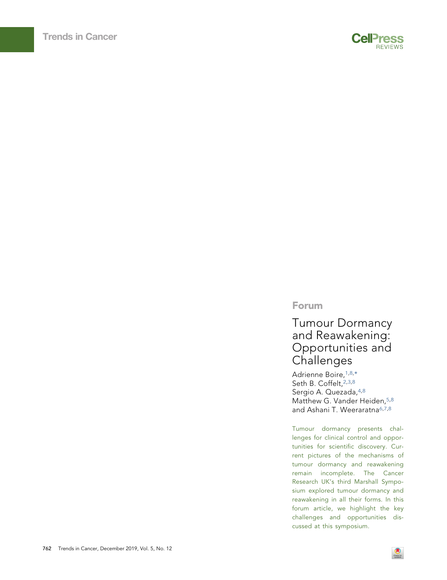

## Forum

# Tumour Dormancy and Reawakening: Opportunities and **Challenges**

Adrienne Boire,<sup>[1,](#page-3-0)[8](#page-3-1),[\\*](#page-3-2)</sup> Seth B. Coffelt, [2](#page-3-3)[,3](#page-3-4),[8](#page-3-1) Sergio A. Quezada, [4](#page-3-5)[,8](#page-3-1) Matthew G. Vander Heiden, [5,](#page-3-6)[8](#page-3-1) and Ashani T. Weeraratna<sup>[6](#page-3-7)[,7](#page-3-8)[,8](#page-3-1)</sup>

Tumour dormancy presents challenges for clinical control and opportunities for scientific discovery. Current pictures of the mechanisms of tumour dormancy and reawakening remain incomplete. The Cancer Research UK's third Marshall Symposium explored tumour dormancy and reawakening in all their forms. In this forum article, we highlight the key challenges and opportunities discussed at this symposium.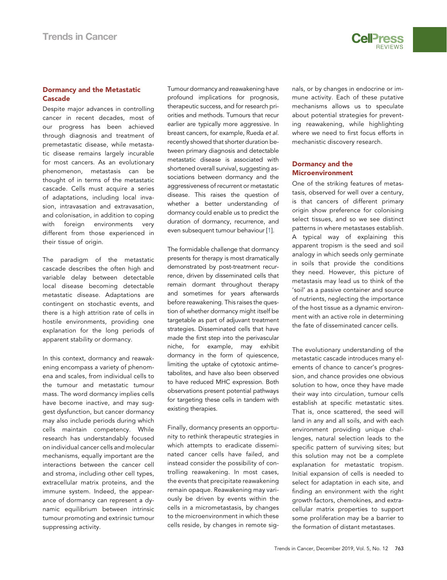

## Dormancy and the Metastatic Cascade

Despite major advances in controlling cancer in recent decades, most of our progress has been achieved through diagnosis and treatment of premetastatic disease, while metastatic disease remains largely incurable for most cancers. As an evolutionary phenomenon, metastasis can be thought of in terms of the metastatic cascade. Cells must acquire a series of adaptations, including local invasion, intravasation and extravasation, and colonisation, in addition to coping with foreign environments very different from those experienced in their tissue of origin.

The paradigm of the metastatic cascade describes the often high and variable delay between detectable local disease becoming detectable metastatic disease. Adaptations are contingent on stochastic events, and there is a high attrition rate of cells in hostile environments, providing one explanation for the long periods of apparent stability or dormancy.

In this context, dormancy and reawakening encompass a variety of phenomena and scales, from individual cells to the tumour and metastatic tumour mass. The word dormancy implies cells have become inactive, and may suggest dysfunction, but cancer dormancy may also include periods during which cells maintain competency. While research has understandably focused on individual cancer cells and molecular mechanisms, equally important are the interactions between the cancer cell and stroma, including other cell types, extracellular matrix proteins, and the immune system. Indeed, the appearance of dormancy can represent a dynamic equilibrium between intrinsic tumour promoting and extrinsic tumour suppressing activity.

Tumour dormancy and reawakening have profound implications for prognosis, therapeutic success, and for research priorities and methods. Tumours that recur earlier are typically more aggressive. In breast cancers, for example, Rueda et al. recently showed that shorter duration between primary diagnosis and detectable metastatic disease is associated with shortened overall survival, suggesting associations between dormancy and the aggressiveness of recurrent or metastatic disease. This raises the question of whether a better understanding of dormancy could enable us to predict the duration of dormancy, recurrence, and even subsequent tumour behaviour [\[1](#page-3-9)].

The formidable challenge that dormancy presents for therapy is most dramatically demonstrated by post-treatment recurrence, driven by disseminated cells that remain dormant throughout therapy and sometimes for years afterwards before reawakening. This raises the question of whether dormancy might itself be targetable as part of adjuvant treatment strategies. Disseminated cells that have made the first step into the perivascular niche, for example, may exhibit dormancy in the form of quiescence, limiting the uptake of cytotoxic antimetabolites, and have also been observed to have reduced MHC expression. Both observations present potential pathways for targeting these cells in tandem with existing therapies.

Finally, dormancy presents an opportunity to rethink therapeutic strategies in which attempts to eradicate disseminated cancer cells have failed, and instead consider the possibility of controlling reawakening. In most cases, the events that precipitate reawakening remain opaque. Reawakening may variously be driven by events within the cells in a micrometastasis, by changes to the microenvironment in which these cells reside, by changes in remote signals, or by changes in endocrine or immune activity. Each of these putative mechanisms allows us to speculate about potential strategies for preventing reawakening, while highlighting where we need to first focus efforts in mechanistic discovery research.

## Dormancy and the Microenvironment

One of the striking features of metastasis, observed for well over a century, is that cancers of different primary origin show preference for colonising select tissues, and so we see distinct patterns in where metastases establish. A typical way of explaining this apparent tropism is the seed and soil analogy in which seeds only germinate in soils that provide the conditions they need. However, this picture of metastasis may lead us to think of the 'soil' as a passive container and source of nutrients, neglecting the importance of the host tissue as a dynamic environment with an active role in determining the fate of disseminated cancer cells.

The evolutionary understanding of the metastatic cascade introduces many elements of chance to cancer's progression, and chance provides one obvious solution to how, once they have made their way into circulation, tumour cells establish at specific metastatic sites. That is, once scattered, the seed will land in any and all soils, and with each environment providing unique challenges, natural selection leads to the specific pattern of surviving sites; but this solution may not be a complete explanation for metastatic tropism. Initial expansion of cells is needed to select for adaptation in each site, and finding an environment with the right growth factors, chemokines, and extracellular matrix properties to support some proliferation may be a barrier to the formation of distant metastases.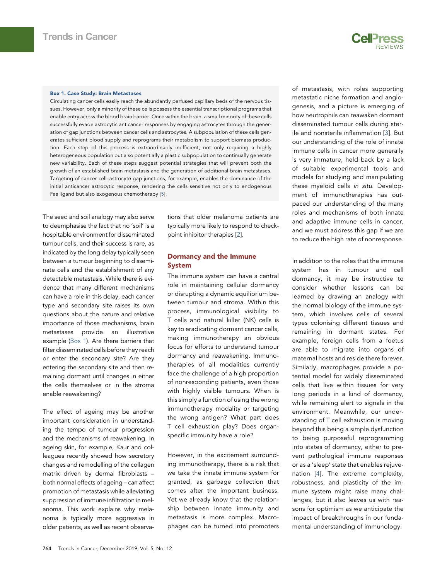

#### <span id="page-2-0"></span>Box 1. Case Study: Brain Metastases

Circulating cancer cells easily reach the abundantly perfused capillary beds of the nervous tissues. However, only a minority of these cells possess the essential transcriptional programs that enable entry across the blood brain barrier. Once within the brain, a small minority of these cells successfully evade astrocytic anticancer responses by engaging astrocytes through the generation of gap junctions between cancer cells and astrocytes. A subpopulation of these cells generates sufficient blood supply and reprograms their metabolism to support biomass production. Each step of this process is extraordinarily inefficient, not only requiring a highly heterogeneous population but also potentially a plastic subpopulation to continually generate new variability. Each of these steps suggest potential strategies that will prevent both the growth of an established brain metastasis and the generation of additional brain metastases. Targeting of cancer cell–astrocyte gap junctions, for example, enables the dominance of the initial anticancer astrocytic response, rendering the cells sensitive not only to endogenous Fas ligand but also exogenous chemotherapy [\[5](#page-3-13)].

The seed and soil analogy may also serve to deemphasise the fact that no 'soil' is a hospitable environment for disseminated tumour cells, and their success is rare, as indicated by the long delay typically seen between a tumour beginning to disseminate cells and the establishment of any detectable metastasis. While there is evidence that many different mechanisms can have a role in this delay, each cancer type and secondary site raises its own questions about the nature and relative importance of those mechanisms, brain metastases provide an illustrative example ([Box 1\)](#page-2-0). Are there barriers that filter disseminated cells before they reach or enter the secondary site? Are they entering the secondary site and then remaining dormant until changes in either the cells themselves or in the stroma enable reawakening?

The effect of ageing may be another important consideration in understanding the tempo of tumour progression and the mechanisms of reawakening. In ageing skin, for example, Kaur and colleagues recently showed how secretory changes and remodelling of the collagen matrix driven by dermal fibroblasts – both normal effects of ageing – can affect promotion of metastasis while alleviating suppression of immune infiltration in melanoma. This work explains why melanoma is typically more aggressive in older patients, as well as recent observations that older melanoma patients are typically more likely to respond to checkpoint inhibitor therapies [[2](#page-3-10)].

## Dormancy and the Immune System

The immune system can have a central role in maintaining cellular dormancy or disrupting a dynamic equilibrium between tumour and stroma. Within this process, immunological visibility to T cells and natural killer (NK) cells is key to eradicating dormant cancer cells, making immunotherapy an obvious focus for efforts to understand tumour dormancy and reawakening. Immunotherapies of all modalities currently face the challenge of a high proportion of nonresponding patients, even those with highly visible tumours. When is this simply a function of using the wrong immunotherapy modality or targeting the wrong antigen? What part does T cell exhaustion play? Does organspecific immunity have a role?

However, in the excitement surrounding immunotherapy, there is a risk that we take the innate immune system for granted, as garbage collection that comes after the important business. Yet we already know that the relationship between innate immunity and metastasis is more complex. Macrophages can be turned into promoters of metastasis, with roles supporting metastatic niche formation and angiogenesis, and a picture is emerging of how neutrophils can reawaken dormant disseminated tumour cells during sterile and nonsterile inflammation [[3](#page-3-11)]. But our understanding of the role of innate immune cells in cancer more generally is very immature, held back by a lack of suitable experimental tools and models for studying and manipulating these myeloid cells in situ. Development of immunotherapies has outpaced our understanding of the many roles and mechanisms of both innate and adaptive immune cells in cancer, and we must address this gap if we are to reduce the high rate of nonresponse.

In addition to the roles that the immune system has in tumour and cell dormancy, it may be instructive to consider whether lessons can be learned by drawing an analogy with the normal biology of the immune system, which involves cells of several types colonising different tissues and remaining in dormant states. For example, foreign cells from a foetus are able to migrate into organs of maternal hosts and reside there forever. Similarly, macrophages provide a potential model for widely disseminated cells that live within tissues for very long periods in a kind of dormancy, while remaining alert to signals in the environment. Meanwhile, our understanding of T cell exhaustion is moving beyond this being a simple dysfunction to being purposeful reprogramming into states of dormancy, either to prevent pathological immune responses or as a 'sleep' state that enables rejuvenation [[4\]](#page-3-12). The extreme complexity, robustness, and plasticity of the immune system might raise many challenges, but it also leaves us with reasons for optimism as we anticipate the impact of breakthroughs in our fundamental understanding of immunology.